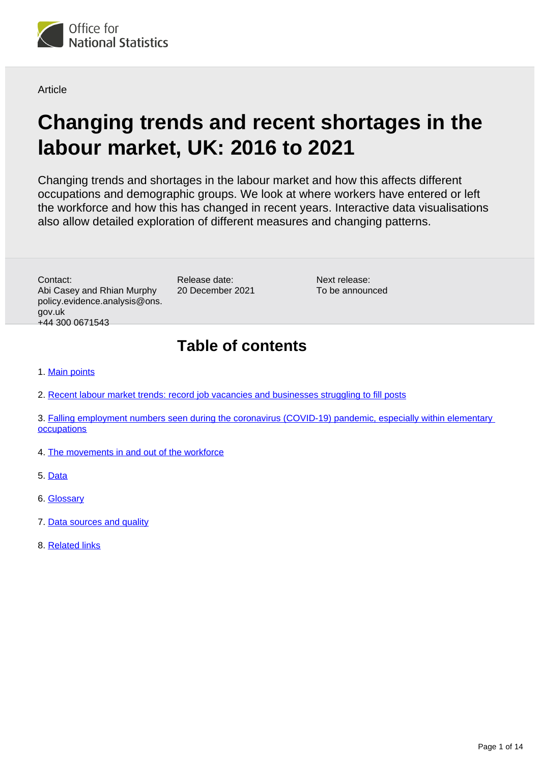

Article

# **Changing trends and recent shortages in the labour market, UK: 2016 to 2021**

Changing trends and shortages in the labour market and how this affects different occupations and demographic groups. We look at where workers have entered or left the workforce and how this has changed in recent years. Interactive data visualisations also allow detailed exploration of different measures and changing patterns.

Contact: Abi Casey and Rhian Murphy policy.evidence.analysis@ons. gov.uk +44 300 0671543

Release date: 20 December 2021

Next release: To be announced

# **Table of contents**

- 1. [Main points](#page-1-0)
- 2. [Recent labour market trends: record job vacancies and businesses struggling to fill posts](#page-2-0)
- 3. Falling employment numbers seen during the coronavirus (COVID-19) pandemic, especially within elementary **[occupations](#page-4-0)**
- 4. [The movements in and out of the workforce](#page-5-0)
- 5. [Data](#page-11-0)
- 6. [Glossary](#page-11-1)
- 7. [Data sources and quality](#page-11-2)
- 8. [Related links](#page-13-0)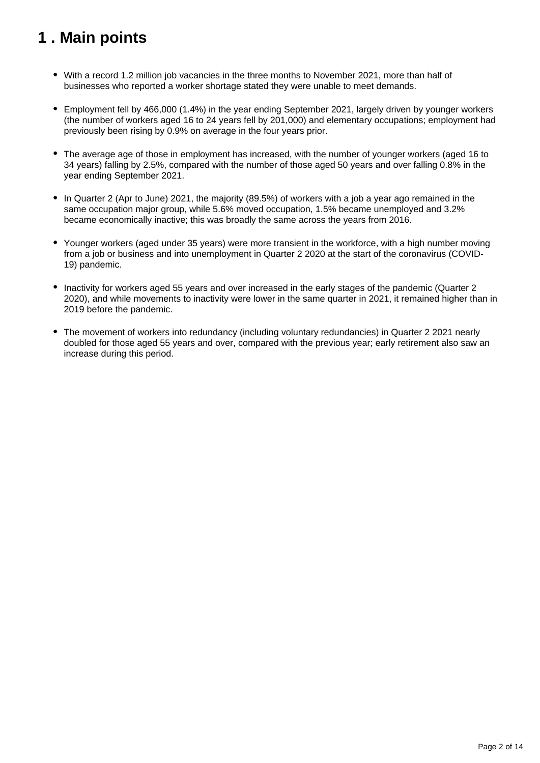# <span id="page-1-0"></span>**1 . Main points**

- With a record 1.2 million job vacancies in the three months to November 2021, more than half of businesses who reported a worker shortage stated they were unable to meet demands.
- Employment fell by 466,000 (1.4%) in the year ending September 2021, largely driven by younger workers (the number of workers aged 16 to 24 years fell by 201,000) and elementary occupations; employment had previously been rising by 0.9% on average in the four years prior.
- The average age of those in employment has increased, with the number of younger workers (aged 16 to 34 years) falling by 2.5%, compared with the number of those aged 50 years and over falling 0.8% in the year ending September 2021.
- In Quarter 2 (Apr to June) 2021, the majority (89.5%) of workers with a job a year ago remained in the same occupation major group, while 5.6% moved occupation, 1.5% became unemployed and 3.2% became economically inactive; this was broadly the same across the years from 2016.
- Younger workers (aged under 35 years) were more transient in the workforce, with a high number moving from a job or business and into unemployment in Quarter 2 2020 at the start of the coronavirus (COVID-19) pandemic.
- Inactivity for workers aged 55 years and over increased in the early stages of the pandemic (Quarter 2) 2020), and while movements to inactivity were lower in the same quarter in 2021, it remained higher than in 2019 before the pandemic.
- The movement of workers into redundancy (including voluntary redundancies) in Quarter 2 2021 nearly doubled for those aged 55 years and over, compared with the previous year; early retirement also saw an increase during this period.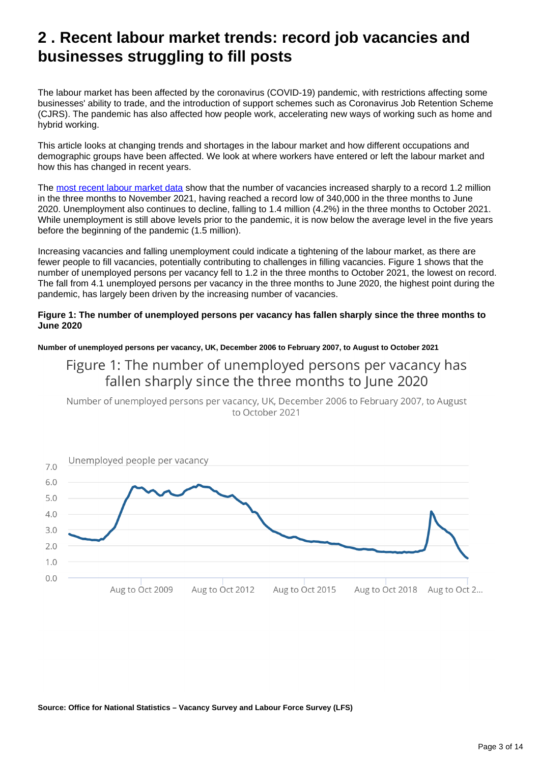# <span id="page-2-0"></span>**2 . Recent labour market trends: record job vacancies and businesses struggling to fill posts**

The labour market has been affected by the coronavirus (COVID-19) pandemic, with restrictions affecting some businesses' ability to trade, and the introduction of support schemes such as Coronavirus Job Retention Scheme (CJRS). The pandemic has also affected how people work, accelerating new ways of working such as home and hybrid working.

This article looks at changing trends and shortages in the labour market and how different occupations and demographic groups have been affected. We look at where workers have entered or left the labour market and how this has changed in recent years.

The [most recent labour market data](https://www.ons.gov.uk/releases/uklabourmarketdecember2021) show that the number of vacancies increased sharply to a record 1.2 million in the three months to November 2021, having reached a record low of 340,000 in the three months to June 2020. Unemployment also continues to decline, falling to 1.4 million (4.2%) in the three months to October 2021. While unemployment is still above levels prior to the pandemic, it is now below the average level in the five years before the beginning of the pandemic (1.5 million).

Increasing vacancies and falling unemployment could indicate a tightening of the labour market, as there are fewer people to fill vacancies, potentially contributing to challenges in filling vacancies. Figure 1 shows that the number of unemployed persons per vacancy fell to 1.2 in the three months to October 2021, the lowest on record. The fall from 4.1 unemployed persons per vacancy in the three months to June 2020, the highest point during the pandemic, has largely been driven by the increasing number of vacancies.

### **Figure 1: The number of unemployed persons per vacancy has fallen sharply since the three months to June 2020**

**Number of unemployed persons per vacancy, UK, December 2006 to February 2007, to August to October 2021**

### Figure 1: The number of unemployed persons per vacancy has fallen sharply since the three months to June 2020

Number of unemployed persons per vacancy, UK, December 2006 to February 2007, to August to October 2021



**Source: Office for National Statistics – Vacancy Survey and Labour Force Survey (LFS)**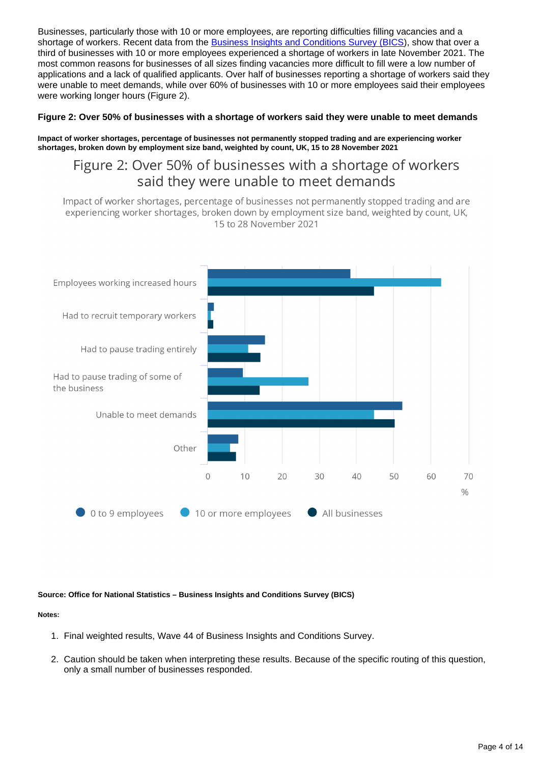Businesses, particularly those with 10 or more employees, are reporting difficulties filling vacancies and a shortage of workers. Recent data from the [Business Insights and Conditions Survey \(BICS](https://www.ons.gov.uk/economy/economicoutputandproductivity/output/datasets/businessinsightsandimpactontheukeconomy)), show that over a third of businesses with 10 or more employees experienced a shortage of workers in late November 2021. The most common reasons for businesses of all sizes finding vacancies more difficult to fill were a low number of applications and a lack of qualified applicants. Over half of businesses reporting a shortage of workers said they were unable to meet demands, while over 60% of businesses with 10 or more employees said their employees were working longer hours (Figure 2).

### **Figure 2: Over 50% of businesses with a shortage of workers said they were unable to meet demands**

**Impact of worker shortages, percentage of businesses not permanently stopped trading and are experiencing worker shortages, broken down by employment size band, weighted by count, UK, 15 to 28 November 2021**

### Figure 2: Over 50% of businesses with a shortage of workers said they were unable to meet demands

Impact of worker shortages, percentage of businesses not permanently stopped trading and are experiencing worker shortages, broken down by employment size band, weighted by count, UK, 15 to 28 November 2021



#### **Source: Office for National Statistics – Business Insights and Conditions Survey (BICS)**

### **Notes:**

- 1. Final weighted results, Wave 44 of Business Insights and Conditions Survey.
- 2. Caution should be taken when interpreting these results. Because of the specific routing of this question, only a small number of businesses responded.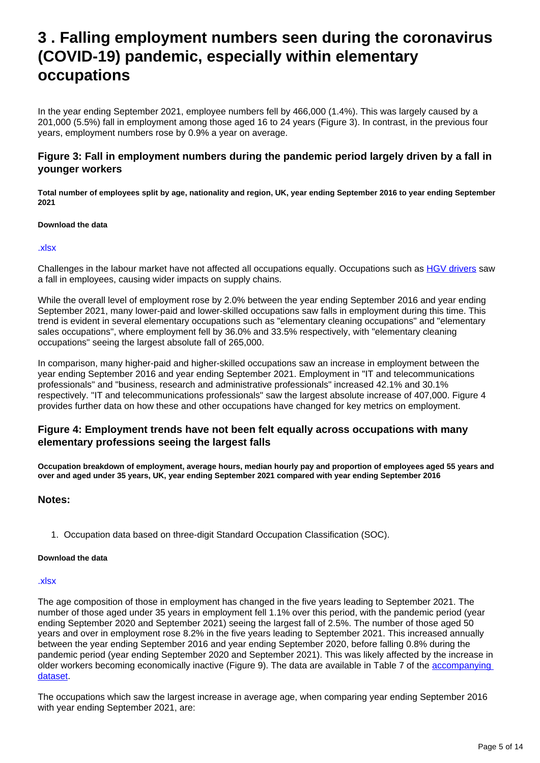# <span id="page-4-0"></span>**3 . Falling employment numbers seen during the coronavirus (COVID-19) pandemic, especially within elementary occupations**

In the year ending September 2021, employee numbers fell by 466,000 (1.4%). This was largely caused by a 201,000 (5.5%) fall in employment among those aged 16 to 24 years (Figure 3). In contrast, in the previous four years, employment numbers rose by 0.9% a year on average.

### **Figure 3: Fall in employment numbers during the pandemic period largely driven by a fall in younger workers**

**Total number of employees split by age, nationality and region, UK, year ending September 2016 to year ending September 2021**

### **Download the data**

#### [.xlsx](https://www.ons.gov.uk/visualisations/dvc1670/areadropdown/datadownload.xlsx)

Challenges in the labour market have not affected all occupations equally. Occupations such as [HGV drivers](https://www.ons.gov.uk/employmentandlabourmarket/peopleinwork/employmentandemployeetypes/articles/fallinhgvdriverslargestamongmiddleagedworkers/2021-10-19) saw a fall in employees, causing wider impacts on supply chains.

While the overall level of employment rose by 2.0% between the year ending September 2016 and year ending September 2021, many lower-paid and lower-skilled occupations saw falls in employment during this time. This trend is evident in several elementary occupations such as "elementary cleaning occupations" and "elementary sales occupations", where employment fell by 36.0% and 33.5% respectively, with "elementary cleaning occupations" seeing the largest absolute fall of 265,000.

In comparison, many higher-paid and higher-skilled occupations saw an increase in employment between the year ending September 2016 and year ending September 2021. Employment in "IT and telecommunications professionals" and "business, research and administrative professionals" increased 42.1% and 30.1% respectively. "IT and telecommunications professionals" saw the largest absolute increase of 407,000. Figure 4 provides further data on how these and other occupations have changed for key metrics on employment.

### **Figure 4: Employment trends have not been felt equally across occupations with many elementary professions seeing the largest falls**

**Occupation breakdown of employment, average hours, median hourly pay and proportion of employees aged 55 years and over and aged under 35 years, UK, year ending September 2021 compared with year ending September 2016**

### **Notes:**

1. Occupation data based on three-digit Standard Occupation Classification (SOC).

#### **Download the data**

#### [.xlsx](https://www.ons.gov.uk/visualisations/dvc1670/beeswarm/datadownload.xlsx)

The age composition of those in employment has changed in the five years leading to September 2021. The number of those aged under 35 years in employment fell 1.1% over this period, with the pandemic period (year ending September 2020 and September 2021) seeing the largest fall of 2.5%. The number of those aged 50 years and over in employment rose 8.2% in the five years leading to September 2021. This increased annually between the year ending September 2016 and year ending September 2020, before falling 0.8% during the pandemic period (year ending September 2020 and September 2021). This was likely affected by the increase in older workers becoming economically inactive (Figure 9). The data are available in Table 7 of the [accompanying](https://www.ons.gov.uk/employmentandlabourmarket/peopleinwork/employmentandemployeetypes/datasets/changingtrendsandrecentshortagesinthelabourmarketuk)  [dataset.](https://www.ons.gov.uk/employmentandlabourmarket/peopleinwork/employmentandemployeetypes/datasets/changingtrendsandrecentshortagesinthelabourmarketuk)

The occupations which saw the largest increase in average age, when comparing year ending September 2016 with year ending September 2021, are: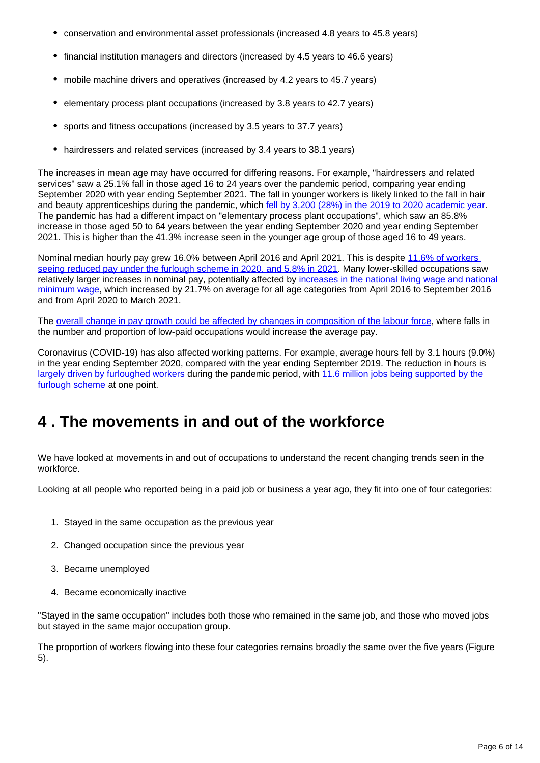- conservation and environmental asset professionals (increased 4.8 years to 45.8 years)
- financial institution managers and directors (increased by 4.5 years to 46.6 years)
- mobile machine drivers and operatives (increased by 4.2 years to 45.7 years)
- elementary process plant occupations (increased by 3.8 years to 42.7 years)
- sports and fitness occupations (increased by 3.5 years to 37.7 years)
- hairdressers and related services (increased by 3.4 years to 38.1 years)

The increases in mean age may have occurred for differing reasons. For example, "hairdressers and related services" saw a 25.1% fall in those aged 16 to 24 years over the pandemic period, comparing year ending September 2020 with year ending September 2021. The fall in younger workers is likely linked to the fall in hair and beauty apprenticeships during the pandemic, which [fell by 3,200 \(28%\) in the 2019 to 2020 academic year](https://researchbriefings.files.parliament.uk/documents/CDP-2021-0097/CDP-2021-0097.pdf). The pandemic has had a different impact on "elementary process plant occupations", which saw an 85.8% increase in those aged 50 to 64 years between the year ending September 2020 and year ending September 2021. This is higher than the 41.3% increase seen in the younger age group of those aged 16 to 49 years.

Nominal median hourly pay grew 16.0% between April 2016 and April 2021. This is despite 11.6% of workers [seeing reduced pay under the furlough scheme in 2020, and 5.8% in 2021](https://www.ons.gov.uk/employmentandlabourmarket/peopleinwork/earningsandworkinghours/bulletins/lowandhighpayuk/2021#distribution-of-pay). Many lower-skilled occupations saw relatively larger increases in nominal pay, potentially affected by increases in the national living wage and national [minimum wage,](https://www.gov.uk/national-minimum-wage-rates) which increased by 21.7% on average for all age categories from April 2016 to September 2016 and from April 2020 to March 2021.

The [overall change in pay growth could be affected by changes in composition of the labour force,](https://www.ons.gov.uk/employmentandlabourmarket/peopleinwork/employmentandemployeetypes/bulletins/averageweeklyearningsingreatbritain/november2021#measuring-the-data) where falls in the number and proportion of low-paid occupations would increase the average pay.

Coronavirus (COVID-19) has also affected working patterns. For example, average hours fell by 3.1 hours (9.0%) in the year ending September 2020, compared with the year ending September 2019. The reduction in hours is [largely driven by furloughed workers](https://www.ons.gov.uk/employmentandlabourmarket/peopleinwork/employmentandemployeetypes/bulletins/employmentintheuk/april2021) during the pandemic period, with [11.6 million jobs being supported by the](https://www.ons.gov.uk/employmentandlabourmarket/peopleinwork/employmentandemployeetypes/articles/anoverviewofworkerswhowerefurloughedintheuk/october2021)  [furlough scheme](https://www.ons.gov.uk/employmentandlabourmarket/peopleinwork/employmentandemployeetypes/articles/anoverviewofworkerswhowerefurloughedintheuk/october2021) at one point.

# <span id="page-5-0"></span>**4 . The movements in and out of the workforce**

We have looked at movements in and out of occupations to understand the recent changing trends seen in the workforce.

Looking at all people who reported being in a paid job or business a year ago, they fit into one of four categories:

- 1. Stayed in the same occupation as the previous year
- 2. Changed occupation since the previous year
- 3. Became unemployed
- 4. Became economically inactive

"Stayed in the same occupation" includes both those who remained in the same job, and those who moved jobs but stayed in the same major occupation group.

The proportion of workers flowing into these four categories remains broadly the same over the five years (Figure 5).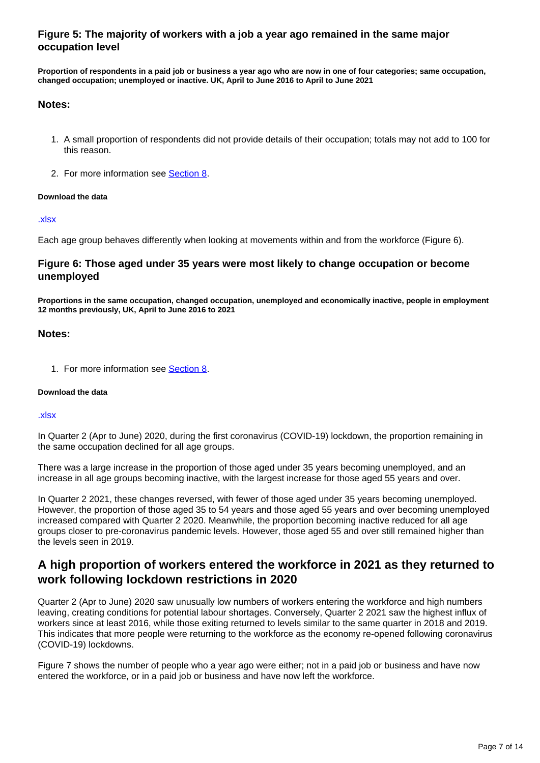### **Figure 5: The majority of workers with a job a year ago remained in the same major occupation level**

**Proportion of respondents in a paid job or business a year ago who are now in one of four categories; same occupation, changed occupation; unemployed or inactive. UK, April to June 2016 to April to June 2021**

### **Notes:**

- 1. A small proportion of respondents did not provide details of their occupation; totals may not add to 100 for this reason.
- 2. For more information see **[Section 8](https://www.ons.gov.uk/employmentandlabourmarket/peopleinwork/employmentandemployeetypes/articles/changingtrendsandrecentshortagesinthelabourmarketuk/2016to2021#related-links)**.

### **Download the data**

#### [.xlsx](https://www.ons.gov.uk/visualisations/dvc1670/stacked-bar-horizontal/datadownload.xlsx)

Each age group behaves differently when looking at movements within and from the workforce (Figure 6).

### **Figure 6: Those aged under 35 years were most likely to change occupation or become unemployed**

**Proportions in the same occupation, changed occupation, unemployed and economically inactive, people in employment 12 months previously, UK, April to June 2016 to 2021**

### **Notes:**

1. For more information see **[Section 8](https://www.ons.gov.uk/employmentandlabourmarket/peopleinwork/employmentandemployeetypes/articles/changingtrendsandrecentshortagesinthelabourmarketuk/2016to2021#related-links)**.

### **Download the data**

#### [.xlsx](https://www.ons.gov.uk/visualisations/dvc1670/age_small-multiple/datadownload.xlsx)

In Quarter 2 (Apr to June) 2020, during the first coronavirus (COVID-19) lockdown, the proportion remaining in the same occupation declined for all age groups.

There was a large increase in the proportion of those aged under 35 years becoming unemployed, and an increase in all age groups becoming inactive, with the largest increase for those aged 55 years and over.

In Quarter 2 2021, these changes reversed, with fewer of those aged under 35 years becoming unemployed. However, the proportion of those aged 35 to 54 years and those aged 55 years and over becoming unemployed increased compared with Quarter 2 2020. Meanwhile, the proportion becoming inactive reduced for all age groups closer to pre-coronavirus pandemic levels. However, those aged 55 and over still remained higher than the levels seen in 2019.

### **A high proportion of workers entered the workforce in 2021 as they returned to work following lockdown restrictions in 2020**

Quarter 2 (Apr to June) 2020 saw unusually low numbers of workers entering the workforce and high numbers leaving, creating conditions for potential labour shortages. Conversely, Quarter 2 2021 saw the highest influx of workers since at least 2016, while those exiting returned to levels similar to the same quarter in 2018 and 2019. This indicates that more people were returning to the workforce as the economy re-opened following coronavirus (COVID-19) lockdowns.

Figure 7 shows the number of people who a year ago were either; not in a paid job or business and have now entered the workforce, or in a paid job or business and have now left the workforce.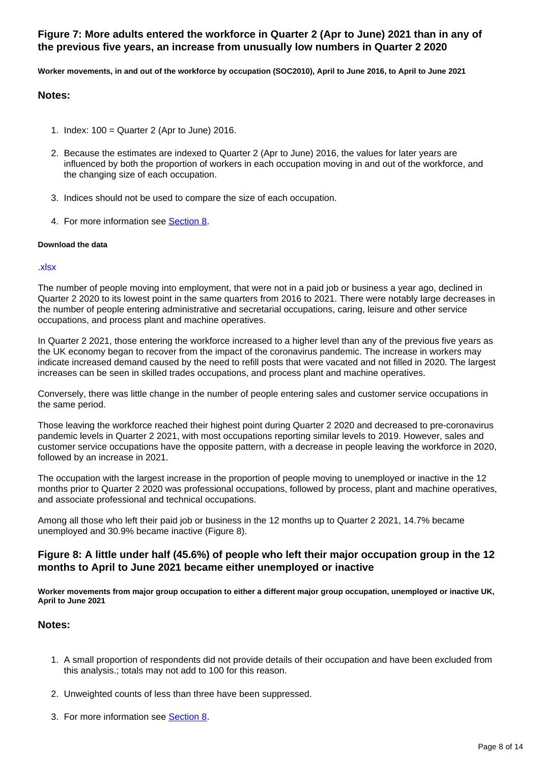### **Figure 7: More adults entered the workforce in Quarter 2 (Apr to June) 2021 than in any of the previous five years, an increase from unusually low numbers in Quarter 2 2020**

**Worker movements, in and out of the workforce by occupation (SOC2010), April to June 2016, to April to June 2021**

### **Notes:**

- 1. Index: 100 = Quarter 2 (Apr to June) 2016.
- 2. Because the estimates are indexed to Quarter 2 (Apr to June) 2016, the values for later years are influenced by both the proportion of workers in each occupation moving in and out of the workforce, and the changing size of each occupation.
- 3. Indices should not be used to compare the size of each occupation.
- 4. For more information see **[Section 8](https://www.ons.gov.uk/employmentandlabourmarket/peopleinwork/employmentandemployeetypes/articles/changingtrendsandrecentshortagesinthelabourmarketuk/2016to2021#related-links)**.

### **Download the data**

#### [.xlsx](https://www.ons.gov.uk/visualisations/dvc1670/inflows_outflows/datadownload.xlsx)

The number of people moving into employment, that were not in a paid job or business a year ago, declined in Quarter 2 2020 to its lowest point in the same quarters from 2016 to 2021. There were notably large decreases in the number of people entering administrative and secretarial occupations, caring, leisure and other service occupations, and process plant and machine operatives.

In Quarter 2 2021, those entering the workforce increased to a higher level than any of the previous five years as the UK economy began to recover from the impact of the coronavirus pandemic. The increase in workers may indicate increased demand caused by the need to refill posts that were vacated and not filled in 2020. The largest increases can be seen in skilled trades occupations, and process plant and machine operatives.

Conversely, there was little change in the number of people entering sales and customer service occupations in the same period.

Those leaving the workforce reached their highest point during Quarter 2 2020 and decreased to pre-coronavirus pandemic levels in Quarter 2 2021, with most occupations reporting similar levels to 2019. However, sales and customer service occupations have the opposite pattern, with a decrease in people leaving the workforce in 2020, followed by an increase in 2021.

The occupation with the largest increase in the proportion of people moving to unemployed or inactive in the 12 months prior to Quarter 2 2020 was professional occupations, followed by process, plant and machine operatives, and associate professional and technical occupations.

Among all those who left their paid job or business in the 12 months up to Quarter 2 2021, 14.7% became unemployed and 30.9% became inactive (Figure 8).

### **Figure 8: A little under half (45.6%) of people who left their major occupation group in the 12 months to April to June 2021 became either unemployed or inactive**

**Worker movements from major group occupation to either a different major group occupation, unemployed or inactive UK, April to June 2021**

### **Notes:**

- 1. A small proportion of respondents did not provide details of their occupation and have been excluded from this analysis.; totals may not add to 100 for this reason.
- 2. Unweighted counts of less than three have been suppressed.
- 3. For more information see **[Section 8](https://www.ons.gov.uk/employmentandlabourmarket/peopleinwork/employmentandemployeetypes/articles/changingtrendsandrecentshortagesinthelabourmarketuk/2016to2021#related-links)**.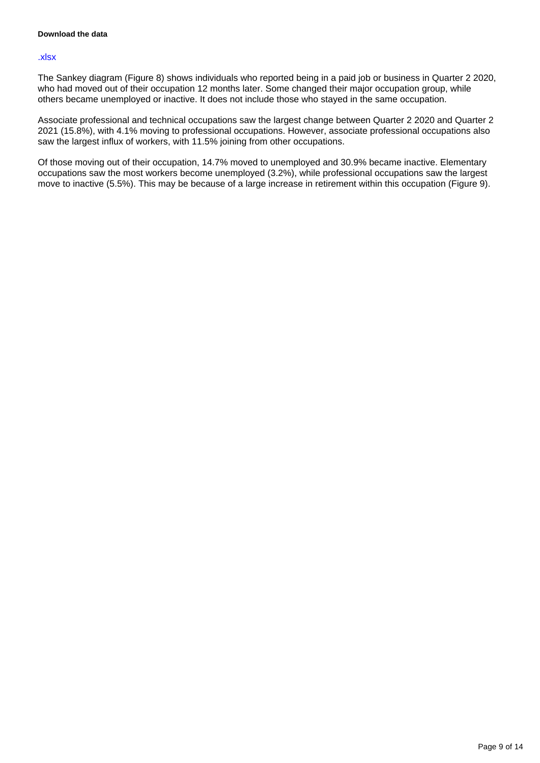#### [.xlsx](https://www.ons.gov.uk/visualisations/dvc1670/sankey/datadownload.xlsx)

The Sankey diagram (Figure 8) shows individuals who reported being in a paid job or business in Quarter 2 2020, who had moved out of their occupation 12 months later. Some changed their major occupation group, while others became unemployed or inactive. It does not include those who stayed in the same occupation.

Associate professional and technical occupations saw the largest change between Quarter 2 2020 and Quarter 2 2021 (15.8%), with 4.1% moving to professional occupations. However, associate professional occupations also saw the largest influx of workers, with 11.5% joining from other occupations.

Of those moving out of their occupation, 14.7% moved to unemployed and 30.9% became inactive. Elementary occupations saw the most workers become unemployed (3.2%), while professional occupations saw the largest move to inactive (5.5%). This may be because of a large increase in retirement within this occupation (Figure 9).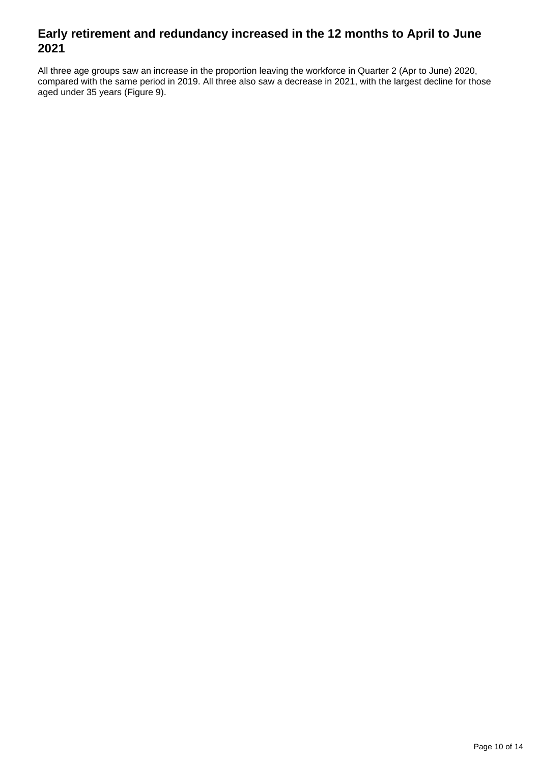### **Early retirement and redundancy increased in the 12 months to April to June 2021**

All three age groups saw an increase in the proportion leaving the workforce in Quarter 2 (Apr to June) 2020, compared with the same period in 2019. All three also saw a decrease in 2021, with the largest decline for those aged under 35 years (Figure 9).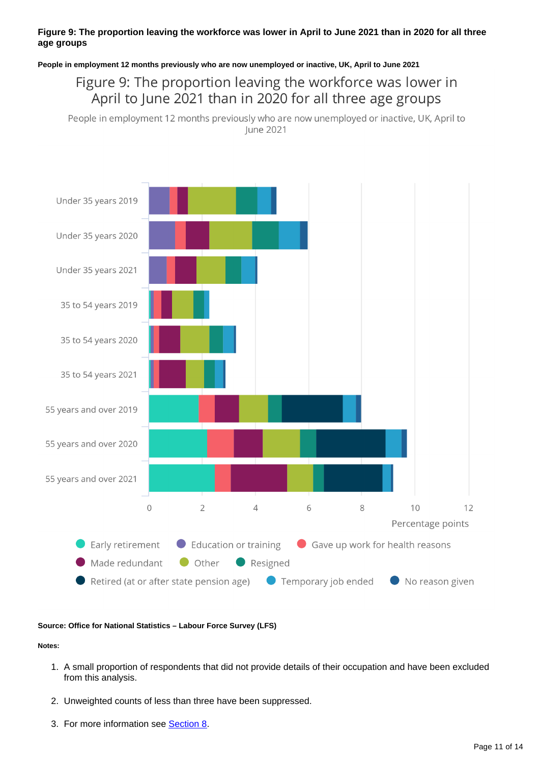### **Figure 9: The proportion leaving the workforce was lower in April to June 2021 than in 2020 for all three age groups**

**People in employment 12 months previously who are now unemployed or inactive, UK, April to June 2021**

Figure 9: The proportion leaving the workforce was lower in April to June 2021 than in 2020 for all three age groups

People in employment 12 months previously who are now unemployed or inactive, UK, April to June 2021



### **Source: Office for National Statistics – Labour Force Survey (LFS)**

**Notes:**

- 1. A small proportion of respondents that did not provide details of their occupation and have been excluded from this analysis.
- 2. Unweighted counts of less than three have been suppressed.
- 3. For more information see **[Section 8](https://www.ons.gov.uk/employmentandlabourmarket/peopleinwork/employmentandemployeetypes/articles/changingtrendsandrecentshortagesinthelabourmarketuk/2016to2021#related-links)**.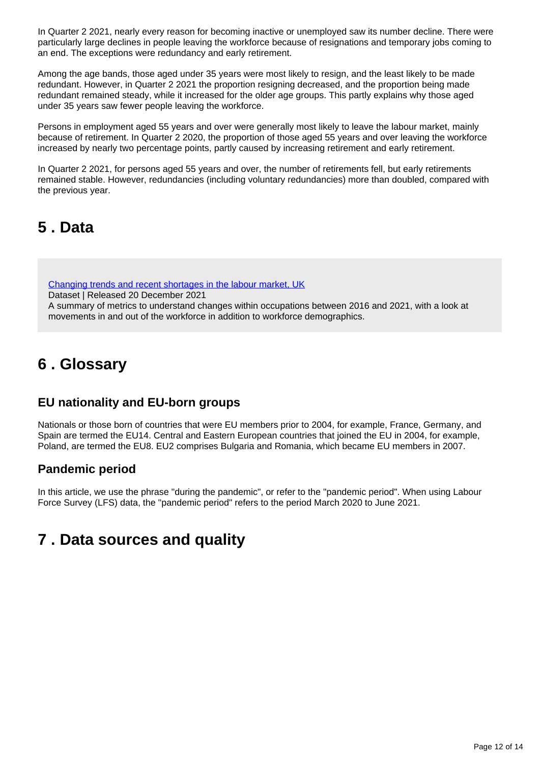In Quarter 2 2021, nearly every reason for becoming inactive or unemployed saw its number decline. There were particularly large declines in people leaving the workforce because of resignations and temporary jobs coming to an end. The exceptions were redundancy and early retirement.

Among the age bands, those aged under 35 years were most likely to resign, and the least likely to be made redundant. However, in Quarter 2 2021 the proportion resigning decreased, and the proportion being made redundant remained steady, while it increased for the older age groups. This partly explains why those aged under 35 years saw fewer people leaving the workforce.

Persons in employment aged 55 years and over were generally most likely to leave the labour market, mainly because of retirement. In Quarter 2 2020, the proportion of those aged 55 years and over leaving the workforce increased by nearly two percentage points, partly caused by increasing retirement and early retirement.

In Quarter 2 2021, for persons aged 55 years and over, the number of retirements fell, but early retirements remained stable. However, redundancies (including voluntary redundancies) more than doubled, compared with the previous year.

# <span id="page-11-0"></span>**5 . Data**

[Changing trends and recent shortages in the labour market, UK](https://www.ons.gov.uk/employmentandlabourmarket/peopleinwork/employmentandemployeetypes/datasets/changingtrendsandrecentshortagesinthelabourmarketuk)

Dataset | Released 20 December 2021

A summary of metrics to understand changes within occupations between 2016 and 2021, with a look at movements in and out of the workforce in addition to workforce demographics.

# <span id="page-11-1"></span>**6 . Glossary**

### **EU nationality and EU-born groups**

Nationals or those born of countries that were EU members prior to 2004, for example, France, Germany, and Spain are termed the EU14. Central and Eastern European countries that joined the EU in 2004, for example, Poland, are termed the EU8. EU2 comprises Bulgaria and Romania, which became EU members in 2007.

### **Pandemic period**

In this article, we use the phrase "during the pandemic", or refer to the "pandemic period". When using Labour Force Survey (LFS) data, the "pandemic period" refers to the period March 2020 to June 2021.

# <span id="page-11-2"></span>**7 . Data sources and quality**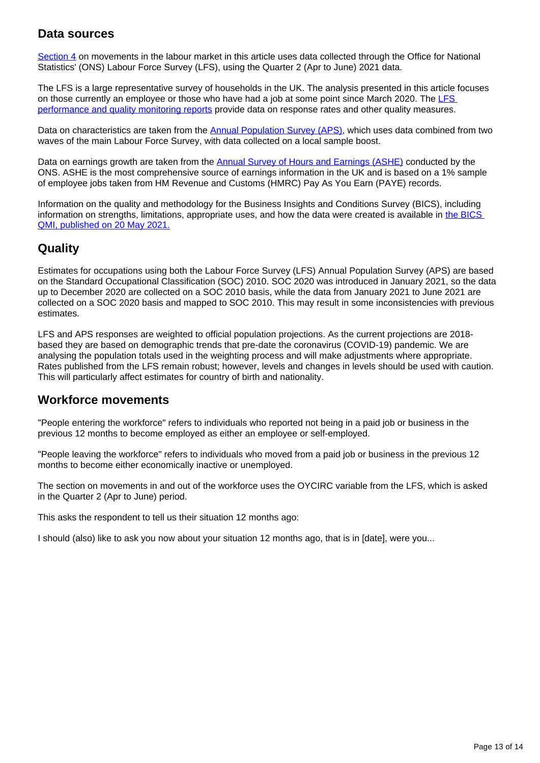### **Data sources**

[Section 4](https://www.ons.gov.uk/employmentandlabourmarket/peopleinwork/employmentandemployeetypes/articles/changingtrendsandrecentshortagesinthelabourmarketuk/2016to2021#the-movements-in-and-out-of-the-workforce) on movements in the labour market in this article uses data collected through the Office for National Statistics' (ONS) Labour Force Survey (LFS), using the Quarter 2 (Apr to June) 2021 data.

The LFS is a large representative survey of households in the UK. The analysis presented in this article focuses on those currently an employee or those who have had a job at some point since March 2020. The [LFS](https://www.ons.gov.uk/employmentandlabourmarket/peopleinwork/employmentandemployeetypes/methodologies/labourforcesurveyperformanceandqualitymonitoringreports/labourforcesurveyperformanceandqualitymonitoringreportapriltojune2021)  [performance and quality monitoring reports](https://www.ons.gov.uk/employmentandlabourmarket/peopleinwork/employmentandemployeetypes/methodologies/labourforcesurveyperformanceandqualitymonitoringreports/labourforcesurveyperformanceandqualitymonitoringreportapriltojune2021) provide data on response rates and other quality measures.

Data on characteristics are taken from the [Annual Population Survey \(APS\),](https://www.ons.gov.uk/employmentandlabourmarket/peopleinwork/employmentandemployeetypes/methodologies/annualpopulationsurveyapsqmi) which uses data combined from two waves of the main Labour Force Survey, with data collected on a local sample boost.

Data on earnings growth are taken from the [Annual Survey of Hours and Earnings \(ASHE\)](https://www.ons.gov.uk/employmentandlabourmarket/peopleinwork/earningsandworkinghours/methodologies/annualsurveyofhoursandearningslowpayandannualsurveyofhoursandearningspensionresultsqmi) conducted by the ONS. ASHE is the most comprehensive source of earnings information in the UK and is based on a 1% sample of employee jobs taken from HM Revenue and Customs (HMRC) Pay As You Earn (PAYE) records.

Information on the quality and methodology for the Business Insights and Conditions Survey (BICS), including information on strengths, limitations, appropriate uses, and how the data were created is available in [the BICS](https://www.ons.gov.uk/releases/businessinsightsandconditionssurveybicsqmi)  [QMI, published on 20 May 2021.](https://www.ons.gov.uk/releases/businessinsightsandconditionssurveybicsqmi)

### **Quality**

Estimates for occupations using both the Labour Force Survey (LFS) Annual Population Survey (APS) are based on the Standard Occupational Classification (SOC) 2010. SOC 2020 was introduced in January 2021, so the data up to December 2020 are collected on a SOC 2010 basis, while the data from January 2021 to June 2021 are collected on a SOC 2020 basis and mapped to SOC 2010. This may result in some inconsistencies with previous estimates.

LFS and APS responses are weighted to official population projections. As the current projections are 2018 based they are based on demographic trends that pre-date the coronavirus (COVID-19) pandemic. We are analysing the population totals used in the weighting process and will make adjustments where appropriate. Rates published from the LFS remain robust; however, levels and changes in levels should be used with caution. This will particularly affect estimates for country of birth and nationality.

### **Workforce movements**

"People entering the workforce" refers to individuals who reported not being in a paid job or business in the previous 12 months to become employed as either an employee or self-employed.

"People leaving the workforce" refers to individuals who moved from a paid job or business in the previous 12 months to become either economically inactive or unemployed.

The section on movements in and out of the workforce uses the OYCIRC variable from the LFS, which is asked in the Quarter 2 (Apr to June) period.

This asks the respondent to tell us their situation 12 months ago:

I should (also) like to ask you now about your situation 12 months ago, that is in [date], were you...